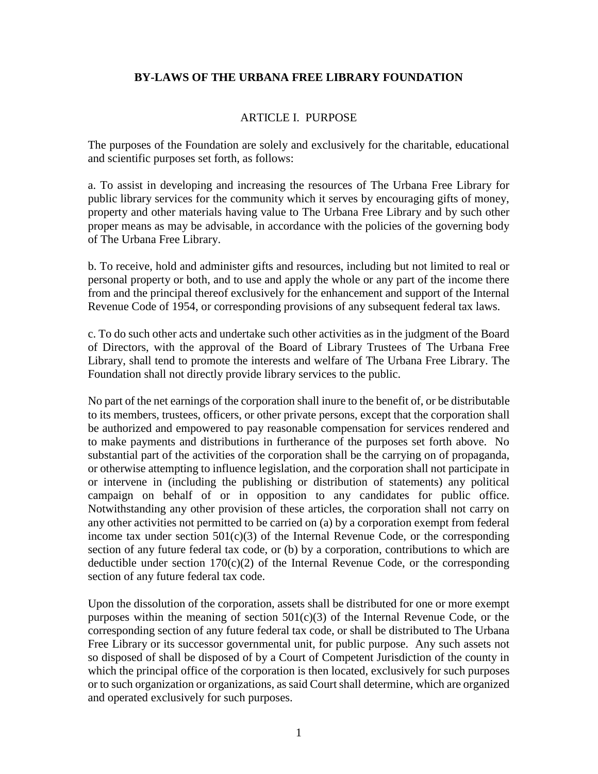## **BY-LAWS OF THE URBANA FREE LIBRARY FOUNDATION**

## ARTICLE I. PURPOSE

The purposes of the Foundation are solely and exclusively for the charitable, educational and scientific purposes set forth, as follows:

a. To assist in developing and increasing the resources of The Urbana Free Library for public library services for the community which it serves by encouraging gifts of money, property and other materials having value to The Urbana Free Library and by such other proper means as may be advisable, in accordance with the policies of the governing body of The Urbana Free Library.

b. To receive, hold and administer gifts and resources, including but not limited to real or personal property or both, and to use and apply the whole or any part of the income there from and the principal thereof exclusively for the enhancement and support of the Internal Revenue Code of 1954, or corresponding provisions of any subsequent federal tax laws.

c. To do such other acts and undertake such other activities as in the judgment of the Board of Directors, with the approval of the Board of Library Trustees of The Urbana Free Library, shall tend to promote the interests and welfare of The Urbana Free Library. The Foundation shall not directly provide library services to the public.

No part of the net earnings of the corporation shall inure to the benefit of, or be distributable to its members, trustees, officers, or other private persons, except that the corporation shall be authorized and empowered to pay reasonable compensation for services rendered and to make payments and distributions in furtherance of the purposes set forth above. No substantial part of the activities of the corporation shall be the carrying on of propaganda, or otherwise attempting to influence legislation, and the corporation shall not participate in or intervene in (including the publishing or distribution of statements) any political campaign on behalf of or in opposition to any candidates for public office. Notwithstanding any other provision of these articles, the corporation shall not carry on any other activities not permitted to be carried on (a) by a corporation exempt from federal income tax under section  $501(c)(3)$  of the Internal Revenue Code, or the corresponding section of any future federal tax code, or (b) by a corporation, contributions to which are deductible under section  $170(c)(2)$  of the Internal Revenue Code, or the corresponding section of any future federal tax code.

Upon the dissolution of the corporation, assets shall be distributed for one or more exempt purposes within the meaning of section  $501(c)(3)$  of the Internal Revenue Code, or the corresponding section of any future federal tax code, or shall be distributed to The Urbana Free Library or its successor governmental unit, for public purpose. Any such assets not so disposed of shall be disposed of by a Court of Competent Jurisdiction of the county in which the principal office of the corporation is then located, exclusively for such purposes or to such organization or organizations, as said Court shall determine, which are organized and operated exclusively for such purposes.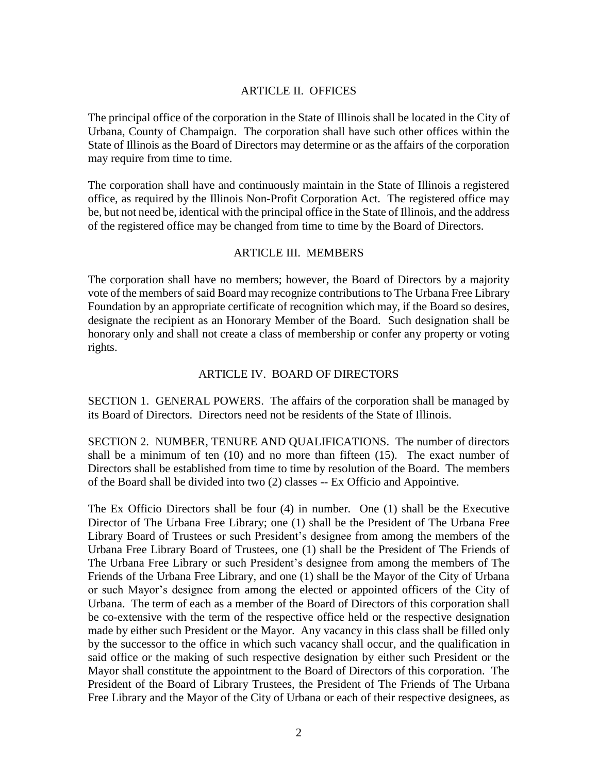## ARTICLE II. OFFICES

The principal office of the corporation in the State of Illinois shall be located in the City of Urbana, County of Champaign. The corporation shall have such other offices within the State of Illinois as the Board of Directors may determine or as the affairs of the corporation may require from time to time.

The corporation shall have and continuously maintain in the State of Illinois a registered office, as required by the Illinois Non-Profit Corporation Act. The registered office may be, but not need be, identical with the principal office in the State of Illinois, and the address of the registered office may be changed from time to time by the Board of Directors.

## ARTICLE III. MEMBERS

The corporation shall have no members; however, the Board of Directors by a majority vote of the members of said Board may recognize contributions to The Urbana Free Library Foundation by an appropriate certificate of recognition which may, if the Board so desires, designate the recipient as an Honorary Member of the Board. Such designation shall be honorary only and shall not create a class of membership or confer any property or voting rights.

## ARTICLE IV. BOARD OF DIRECTORS

SECTION 1. GENERAL POWERS. The affairs of the corporation shall be managed by its Board of Directors. Directors need not be residents of the State of Illinois.

SECTION 2. NUMBER, TENURE AND QUALIFICATIONS. The number of directors shall be a minimum of ten  $(10)$  and no more than fifteen  $(15)$ . The exact number of Directors shall be established from time to time by resolution of the Board. The members of the Board shall be divided into two (2) classes -- Ex Officio and Appointive.

The Ex Officio Directors shall be four (4) in number. One (1) shall be the Executive Director of The Urbana Free Library; one (1) shall be the President of The Urbana Free Library Board of Trustees or such President's designee from among the members of the Urbana Free Library Board of Trustees, one (1) shall be the President of The Friends of The Urbana Free Library or such President's designee from among the members of The Friends of the Urbana Free Library, and one (1) shall be the Mayor of the City of Urbana or such Mayor's designee from among the elected or appointed officers of the City of Urbana. The term of each as a member of the Board of Directors of this corporation shall be co-extensive with the term of the respective office held or the respective designation made by either such President or the Mayor. Any vacancy in this class shall be filled only by the successor to the office in which such vacancy shall occur, and the qualification in said office or the making of such respective designation by either such President or the Mayor shall constitute the appointment to the Board of Directors of this corporation. The President of the Board of Library Trustees, the President of The Friends of The Urbana Free Library and the Mayor of the City of Urbana or each of their respective designees, as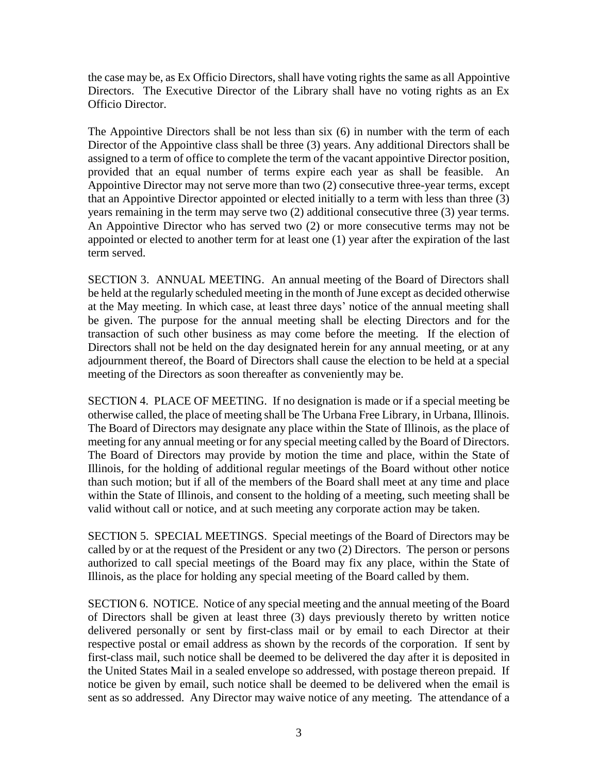the case may be, as Ex Officio Directors, shall have voting rights the same as all Appointive Directors. The Executive Director of the Library shall have no voting rights as an Ex Officio Director.

The Appointive Directors shall be not less than six (6) in number with the term of each Director of the Appointive class shall be three (3) years. Any additional Directors shall be assigned to a term of office to complete the term of the vacant appointive Director position, provided that an equal number of terms expire each year as shall be feasible. An Appointive Director may not serve more than two (2) consecutive three-year terms, except that an Appointive Director appointed or elected initially to a term with less than three (3) years remaining in the term may serve two (2) additional consecutive three (3) year terms. An Appointive Director who has served two (2) or more consecutive terms may not be appointed or elected to another term for at least one (1) year after the expiration of the last term served.

SECTION 3. ANNUAL MEETING. An annual meeting of the Board of Directors shall be held at the regularly scheduled meeting in the month of June except as decided otherwise at the May meeting. In which case, at least three days' notice of the annual meeting shall be given. The purpose for the annual meeting shall be electing Directors and for the transaction of such other business as may come before the meeting. If the election of Directors shall not be held on the day designated herein for any annual meeting, or at any adjournment thereof, the Board of Directors shall cause the election to be held at a special meeting of the Directors as soon thereafter as conveniently may be.

SECTION 4. PLACE OF MEETING. If no designation is made or if a special meeting be otherwise called, the place of meeting shall be The Urbana Free Library, in Urbana, Illinois. The Board of Directors may designate any place within the State of Illinois, as the place of meeting for any annual meeting or for any special meeting called by the Board of Directors. The Board of Directors may provide by motion the time and place, within the State of Illinois, for the holding of additional regular meetings of the Board without other notice than such motion; but if all of the members of the Board shall meet at any time and place within the State of Illinois, and consent to the holding of a meeting, such meeting shall be valid without call or notice, and at such meeting any corporate action may be taken.

SECTION 5. SPECIAL MEETINGS. Special meetings of the Board of Directors may be called by or at the request of the President or any two (2) Directors. The person or persons authorized to call special meetings of the Board may fix any place, within the State of Illinois, as the place for holding any special meeting of the Board called by them.

SECTION 6. NOTICE. Notice of any special meeting and the annual meeting of the Board of Directors shall be given at least three (3) days previously thereto by written notice delivered personally or sent by first-class mail or by email to each Director at their respective postal or email address as shown by the records of the corporation. If sent by first-class mail, such notice shall be deemed to be delivered the day after it is deposited in the United States Mail in a sealed envelope so addressed, with postage thereon prepaid. If notice be given by email, such notice shall be deemed to be delivered when the email is sent as so addressed. Any Director may waive notice of any meeting. The attendance of a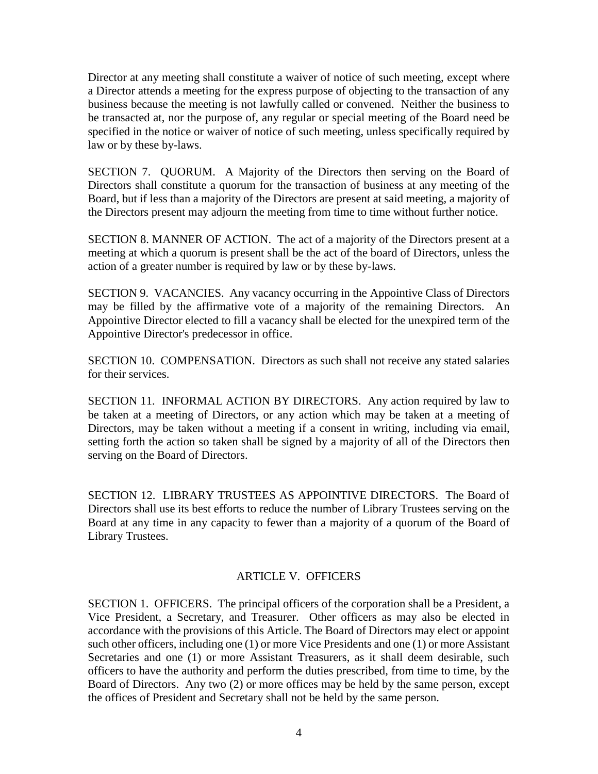Director at any meeting shall constitute a waiver of notice of such meeting, except where a Director attends a meeting for the express purpose of objecting to the transaction of any business because the meeting is not lawfully called or convened. Neither the business to be transacted at, nor the purpose of, any regular or special meeting of the Board need be specified in the notice or waiver of notice of such meeting, unless specifically required by law or by these by-laws.

SECTION 7. QUORUM. A Majority of the Directors then serving on the Board of Directors shall constitute a quorum for the transaction of business at any meeting of the Board, but if less than a majority of the Directors are present at said meeting, a majority of the Directors present may adjourn the meeting from time to time without further notice.

SECTION 8. MANNER OF ACTION. The act of a majority of the Directors present at a meeting at which a quorum is present shall be the act of the board of Directors, unless the action of a greater number is required by law or by these by-laws.

SECTION 9. VACANCIES. Any vacancy occurring in the Appointive Class of Directors may be filled by the affirmative vote of a majority of the remaining Directors. An Appointive Director elected to fill a vacancy shall be elected for the unexpired term of the Appointive Director's predecessor in office.

SECTION 10. COMPENSATION. Directors as such shall not receive any stated salaries for their services.

SECTION 11. INFORMAL ACTION BY DIRECTORS. Any action required by law to be taken at a meeting of Directors, or any action which may be taken at a meeting of Directors, may be taken without a meeting if a consent in writing, including via email, setting forth the action so taken shall be signed by a majority of all of the Directors then serving on the Board of Directors.

SECTION 12. LIBRARY TRUSTEES AS APPOINTIVE DIRECTORS. The Board of Directors shall use its best efforts to reduce the number of Library Trustees serving on the Board at any time in any capacity to fewer than a majority of a quorum of the Board of Library Trustees.

## ARTICLE V. OFFICERS

SECTION 1. OFFICERS. The principal officers of the corporation shall be a President, a Vice President, a Secretary, and Treasurer. Other officers as may also be elected in accordance with the provisions of this Article. The Board of Directors may elect or appoint such other officers, including one (1) or more Vice Presidents and one (1) or more Assistant Secretaries and one (1) or more Assistant Treasurers, as it shall deem desirable, such officers to have the authority and perform the duties prescribed, from time to time, by the Board of Directors. Any two (2) or more offices may be held by the same person, except the offices of President and Secretary shall not be held by the same person.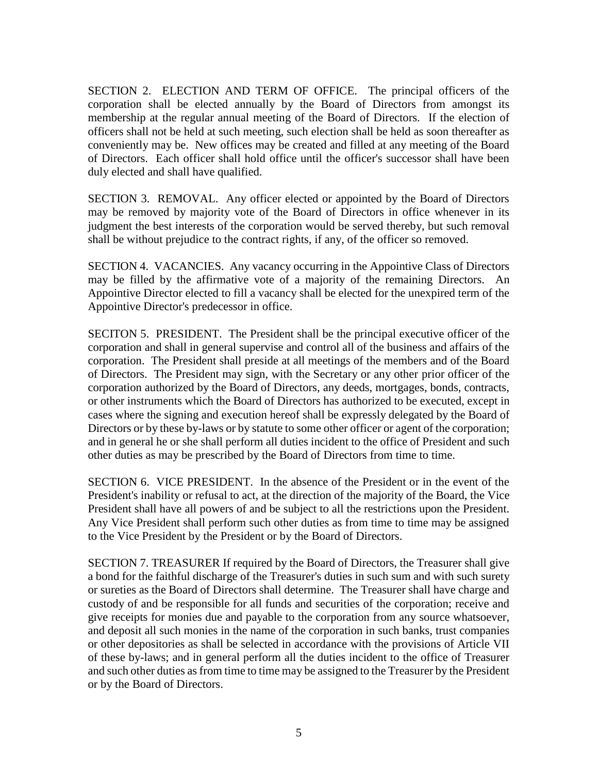SECTION 2. ELECTION AND TERM OF OFFICE. The principal officers of the corporation shall be elected annually by the Board of Directors from amongst its membership at the regular annual meeting of the Board of Directors. If the election of officers shall not be held at such meeting, such election shall be held as soon thereafter as conveniently may be. New offices may be created and filled at any meeting of the Board of Directors. Each officer shall hold office until the officer's successor shall have been duly elected and shall have qualified.

SECTION 3. REMOVAL. Any officer elected or appointed by the Board of Directors may be removed by majority vote of the Board of Directors in office whenever in its judgment the best interests of the corporation would be served thereby, but such removal shall be without prejudice to the contract rights, if any, of the officer so removed.

SECTION 4. VACANCIES. Any vacancy occurring in the Appointive Class of Directors may be filled by the affirmative vote of a majority of the remaining Directors. An Appointive Director elected to fill a vacancy shall be elected for the unexpired term of the Appointive Director's predecessor in office.

SECITON 5. PRESIDENT. The President shall be the principal executive officer of the corporation and shall in general supervise and control all of the business and affairs of the corporation. The President shall preside at all meetings of the members and of the Board of Directors. The President may sign, with the Secretary or any other prior officer of the corporation authorized by the Board of Directors, any deeds, mortgages, bonds, contracts, or other instruments which the Board of Directors has authorized to be executed, except in cases where the signing and execution hereof shall be expressly delegated by the Board of Directors or by these by-laws or by statute to some other officer or agent of the corporation; and in general he or she shall perform all duties incident to the office of President and such other duties as may be prescribed by the Board of Directors from time to time.

SECTION 6. VICE PRESIDENT. In the absence of the President or in the event of the President's inability or refusal to act, at the direction of the majority of the Board, the Vice President shall have all powers of and be subject to all the restrictions upon the President. Any Vice President shall perform such other duties as from time to time may be assigned to the Vice President by the President or by the Board of Directors.

SECTION 7. TREASURER If required by the Board of Directors, the Treasurer shall give a bond for the faithful discharge of the Treasurer's duties in such sum and with such surety or sureties as the Board of Directors shall determine. The Treasurer shall have charge and custody of and be responsible for all funds and securities of the corporation; receive and give receipts for monies due and payable to the corporation from any source whatsoever, and deposit all such monies in the name of the corporation in such banks, trust companies or other depositories as shall be selected in accordance with the provisions of Article VII of these by-laws; and in general perform all the duties incident to the office of Treasurer and such other duties as from time to time may be assigned to the Treasurer by the President or by the Board of Directors.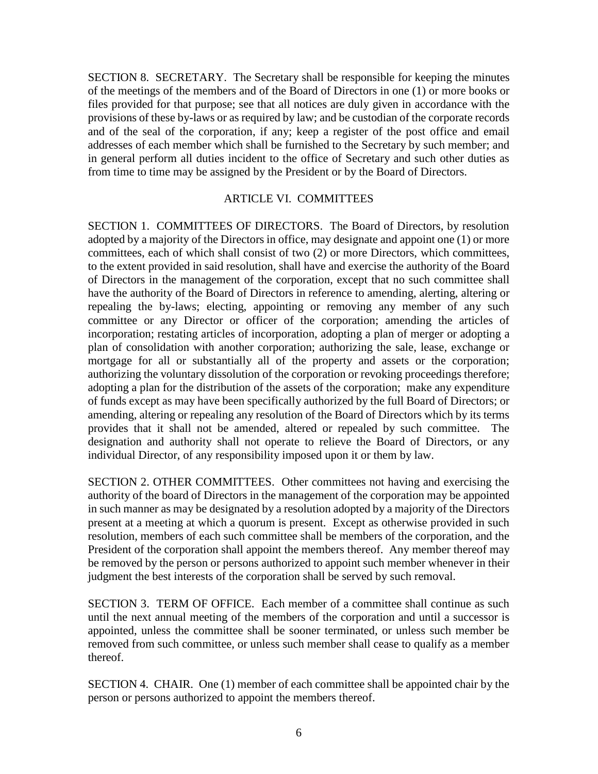SECTION 8. SECRETARY. The Secretary shall be responsible for keeping the minutes of the meetings of the members and of the Board of Directors in one (1) or more books or files provided for that purpose; see that all notices are duly given in accordance with the provisions of these by-laws or as required by law; and be custodian of the corporate records and of the seal of the corporation, if any; keep a register of the post office and email addresses of each member which shall be furnished to the Secretary by such member; and in general perform all duties incident to the office of Secretary and such other duties as from time to time may be assigned by the President or by the Board of Directors.

## ARTICLE VI. COMMITTEES

SECTION 1. COMMITTEES OF DIRECTORS. The Board of Directors, by resolution adopted by a majority of the Directors in office, may designate and appoint one (1) or more committees, each of which shall consist of two (2) or more Directors, which committees, to the extent provided in said resolution, shall have and exercise the authority of the Board of Directors in the management of the corporation, except that no such committee shall have the authority of the Board of Directors in reference to amending, alerting, altering or repealing the by-laws; electing, appointing or removing any member of any such committee or any Director or officer of the corporation; amending the articles of incorporation; restating articles of incorporation, adopting a plan of merger or adopting a plan of consolidation with another corporation; authorizing the sale, lease, exchange or mortgage for all or substantially all of the property and assets or the corporation; authorizing the voluntary dissolution of the corporation or revoking proceedings therefore; adopting a plan for the distribution of the assets of the corporation; make any expenditure of funds except as may have been specifically authorized by the full Board of Directors; or amending, altering or repealing any resolution of the Board of Directors which by its terms provides that it shall not be amended, altered or repealed by such committee. The designation and authority shall not operate to relieve the Board of Directors, or any individual Director, of any responsibility imposed upon it or them by law.

SECTION 2. OTHER COMMITTEES. Other committees not having and exercising the authority of the board of Directors in the management of the corporation may be appointed in such manner as may be designated by a resolution adopted by a majority of the Directors present at a meeting at which a quorum is present. Except as otherwise provided in such resolution, members of each such committee shall be members of the corporation, and the President of the corporation shall appoint the members thereof. Any member thereof may be removed by the person or persons authorized to appoint such member whenever in their judgment the best interests of the corporation shall be served by such removal.

SECTION 3. TERM OF OFFICE. Each member of a committee shall continue as such until the next annual meeting of the members of the corporation and until a successor is appointed, unless the committee shall be sooner terminated, or unless such member be removed from such committee, or unless such member shall cease to qualify as a member thereof.

SECTION 4. CHAIR. One (1) member of each committee shall be appointed chair by the person or persons authorized to appoint the members thereof.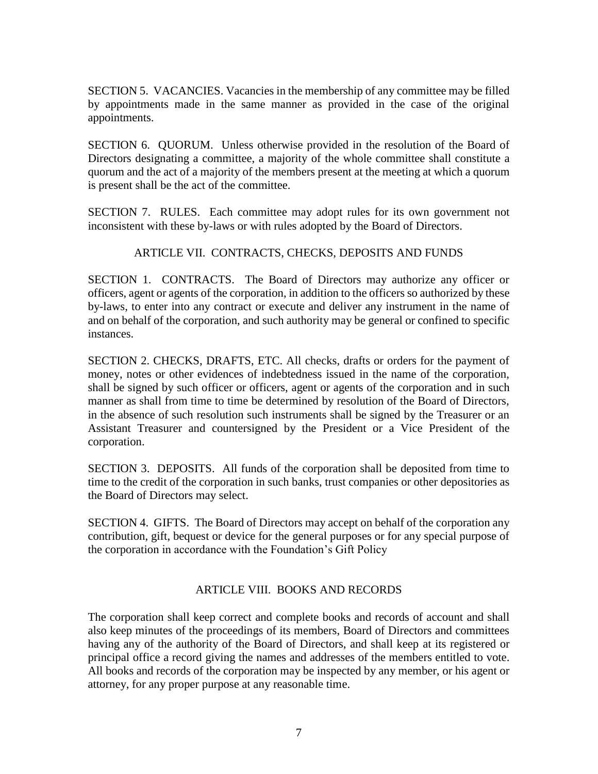SECTION 5. VACANCIES. Vacancies in the membership of any committee may be filled by appointments made in the same manner as provided in the case of the original appointments.

SECTION 6. QUORUM. Unless otherwise provided in the resolution of the Board of Directors designating a committee, a majority of the whole committee shall constitute a quorum and the act of a majority of the members present at the meeting at which a quorum is present shall be the act of the committee.

SECTION 7. RULES. Each committee may adopt rules for its own government not inconsistent with these by-laws or with rules adopted by the Board of Directors.

## ARTICLE VII. CONTRACTS, CHECKS, DEPOSITS AND FUNDS

SECTION 1. CONTRACTS. The Board of Directors may authorize any officer or officers, agent or agents of the corporation, in addition to the officers so authorized by these by-laws, to enter into any contract or execute and deliver any instrument in the name of and on behalf of the corporation, and such authority may be general or confined to specific instances.

SECTION 2. CHECKS, DRAFTS, ETC. All checks, drafts or orders for the payment of money, notes or other evidences of indebtedness issued in the name of the corporation, shall be signed by such officer or officers, agent or agents of the corporation and in such manner as shall from time to time be determined by resolution of the Board of Directors, in the absence of such resolution such instruments shall be signed by the Treasurer or an Assistant Treasurer and countersigned by the President or a Vice President of the corporation.

SECTION 3. DEPOSITS. All funds of the corporation shall be deposited from time to time to the credit of the corporation in such banks, trust companies or other depositories as the Board of Directors may select.

SECTION 4. GIFTS. The Board of Directors may accept on behalf of the corporation any contribution, gift, bequest or device for the general purposes or for any special purpose of the corporation in accordance with the Foundation's Gift Policy

# ARTICLE VIII. BOOKS AND RECORDS

The corporation shall keep correct and complete books and records of account and shall also keep minutes of the proceedings of its members, Board of Directors and committees having any of the authority of the Board of Directors, and shall keep at its registered or principal office a record giving the names and addresses of the members entitled to vote. All books and records of the corporation may be inspected by any member, or his agent or attorney, for any proper purpose at any reasonable time.